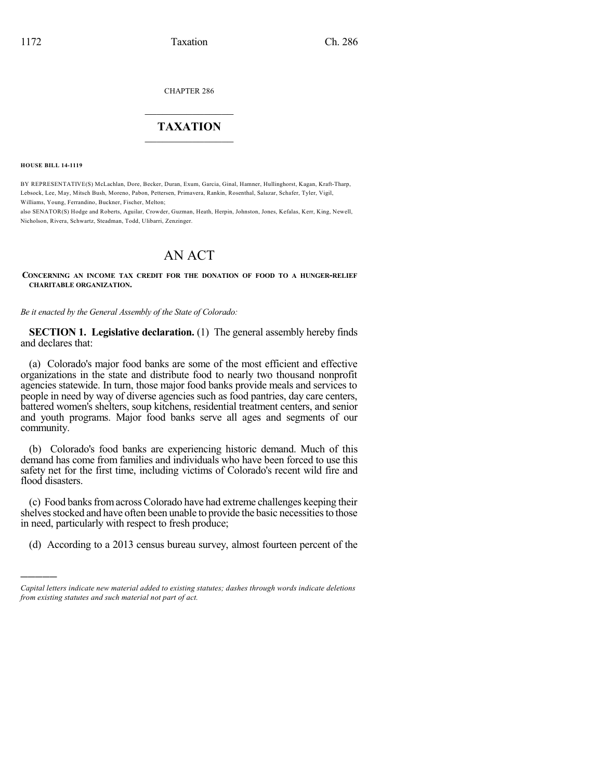CHAPTER 286

## $\overline{\phantom{a}}$  . The set of the set of the set of the set of the set of the set of the set of the set of the set of the set of the set of the set of the set of the set of the set of the set of the set of the set of the set o **TAXATION**  $\_$

**HOUSE BILL 14-1119**

)))))

BY REPRESENTATIVE(S) McLachlan, Dore, Becker, Duran, Exum, Garcia, Ginal, Hamner, Hullinghorst, Kagan, Kraft-Tharp, Lebsock, Lee, May, Mitsch Bush, Moreno, Pabon, Pettersen, Primavera, Rankin, Rosenthal, Salazar, Schafer, Tyler, Vigil, Williams, Young, Ferrandino, Buckner, Fischer, Melton;

also SENATOR(S) Hodge and Roberts, Aguilar, Crowder, Guzman, Heath, Herpin, Johnston, Jones, Kefalas, Kerr, King, Newell, Nicholson, Rivera, Schwartz, Steadman, Todd, Ulibarri, Zenzinger.

# AN ACT

**CONCERNING AN INCOME TAX CREDIT FOR THE DONATION OF FOOD TO A HUNGER-RELIEF CHARITABLE ORGANIZATION.**

*Be it enacted by the General Assembly of the State of Colorado:*

**SECTION 1. Legislative declaration.** (1) The general assembly hereby finds and declares that:

(a) Colorado's major food banks are some of the most efficient and effective organizations in the state and distribute food to nearly two thousand nonprofit agencies statewide. In turn, those major food banks provide meals and services to people in need by way of diverse agencies such as food pantries, day care centers, battered women's shelters, soup kitchens, residential treatment centers, and senior and youth programs. Major food banks serve all ages and segments of our community.

(b) Colorado's food banks are experiencing historic demand. Much of this demand has come from families and individuals who have been forced to use this safety net for the first time, including victims of Colorado's recent wild fire and flood disasters.

(c) Food banks from across Colorado have had extreme challenges keeping their shelves stocked and have often been unable to provide the basic necessities to those in need, particularly with respect to fresh produce;

(d) According to a 2013 census bureau survey, almost fourteen percent of the

*Capital letters indicate new material added to existing statutes; dashes through words indicate deletions from existing statutes and such material not part of act.*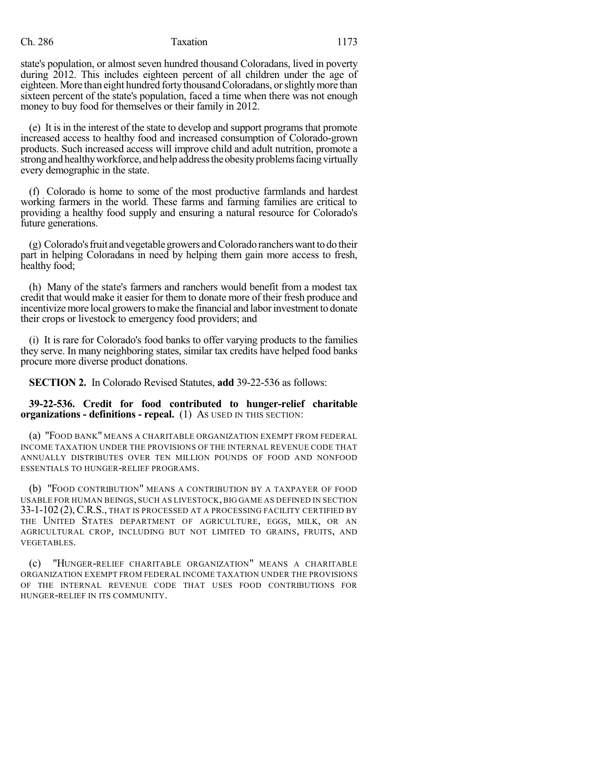#### Ch. 286 Taxation 1173

state's population, or almost seven hundred thousand Coloradans, lived in poverty during 2012. This includes eighteen percent of all children under the age of eighteen. More than eight hundred forty thousand Coloradans, or slightly more than sixteen percent of the state's population, faced a time when there was not enough money to buy food for themselves or their family in 2012.

(e) It is in the interest of the state to develop and support programs that promote increased access to healthy food and increased consumption of Colorado-grown products. Such increased access will improve child and adult nutrition, promote a strong and healthy workforce, and help address the obesity problems facing virtually every demographic in the state.

(f) Colorado is home to some of the most productive farmlands and hardest working farmers in the world. These farms and farming families are critical to providing a healthy food supply and ensuring a natural resource for Colorado's future generations.

(g) Colorado'sfruit andvegetablegrowers andColorado rancherswantto do their part in helping Coloradans in need by helping them gain more access to fresh, healthy food;

(h) Many of the state's farmers and ranchers would benefit from a modest tax credit that would make it easier for them to donate more of their fresh produce and incentivize more local growers to make the financial and labor investment to donate their crops or livestock to emergency food providers; and

(i) It is rare for Colorado's food banks to offer varying products to the families they serve. In many neighboring states, similar tax credits have helped food banks procure more diverse product donations.

**SECTION 2.** In Colorado Revised Statutes, **add** 39-22-536 as follows:

#### **39-22-536. Credit for food contributed to hunger-relief charitable organizations - definitions - repeal.** (1) AS USED IN THIS SECTION:

(a) "FOOD BANK" MEANS A CHARITABLE ORGANIZATION EXEMPT FROM FEDERAL INCOME TAXATION UNDER THE PROVISIONS OF THE INTERNAL REVENUE CODE THAT ANNUALLY DISTRIBUTES OVER TEN MILLION POUNDS OF FOOD AND NONFOOD ESSENTIALS TO HUNGER-RELIEF PROGRAMS.

(b) "FOOD CONTRIBUTION" MEANS A CONTRIBUTION BY A TAXPAYER OF FOOD USABLE FOR HUMAN BEINGS, SUCH AS LIVESTOCK, BIG GAME AS DEFINED IN SECTION 33-1-102 (2),C.R.S., THAT IS PROCESSED AT A PROCESSING FACILITY CERTIFIED BY THE UNITED STATES DEPARTMENT OF AGRICULTURE, EGGS, MILK, OR AN AGRICULTURAL CROP, INCLUDING BUT NOT LIMITED TO GRAINS, FRUITS, AND VEGETABLES.

(c) "HUNGER-RELIEF CHARITABLE ORGANIZATION" MEANS A CHARITABLE ORGANIZATION EXEMPT FROM FEDERAL INCOME TAXATION UNDER THE PROVISIONS OF THE INTERNAL REVENUE CODE THAT USES FOOD CONTRIBUTIONS FOR HUNGER-RELIEF IN ITS COMMUNITY.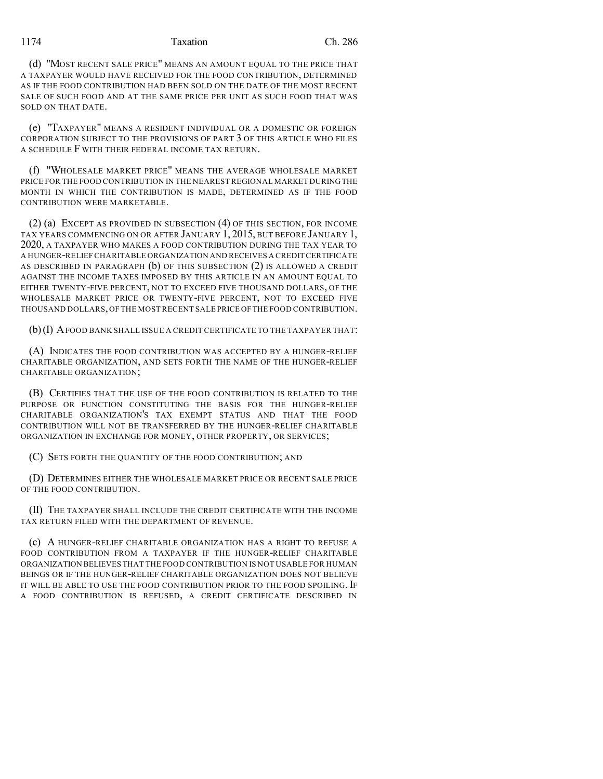1174 Taxation Ch. 286

(d) "MOST RECENT SALE PRICE" MEANS AN AMOUNT EQUAL TO THE PRICE THAT A TAXPAYER WOULD HAVE RECEIVED FOR THE FOOD CONTRIBUTION, DETERMINED AS IF THE FOOD CONTRIBUTION HAD BEEN SOLD ON THE DATE OF THE MOST RECENT SALE OF SUCH FOOD AND AT THE SAME PRICE PER UNIT AS SUCH FOOD THAT WAS SOLD ON THAT DATE.

(e) "TAXPAYER" MEANS A RESIDENT INDIVIDUAL OR A DOMESTIC OR FOREIGN CORPORATION SUBJECT TO THE PROVISIONS OF PART 3 OF THIS ARTICLE WHO FILES A SCHEDULE F WITH THEIR FEDERAL INCOME TAX RETURN.

(f) "WHOLESALE MARKET PRICE" MEANS THE AVERAGE WHOLESALE MARKET PRICE FOR THE FOOD CONTRIBUTION IN THE NEAREST REGIONAL MARKET DURINGTHE MONTH IN WHICH THE CONTRIBUTION IS MADE, DETERMINED AS IF THE FOOD CONTRIBUTION WERE MARKETABLE.

(2) (a) EXCEPT AS PROVIDED IN SUBSECTION (4) OF THIS SECTION, FOR INCOME TAX YEARS COMMENCING ON OR AFTER JANUARY 1, 2015, BUT BEFORE JANUARY 1, 2020, A TAXPAYER WHO MAKES A FOOD CONTRIBUTION DURING THE TAX YEAR TO A HUNGER-RELIEF CHARITABLE ORGANIZATION AND RECEIVES A CREDIT CERTIFICATE AS DESCRIBED IN PARAGRAPH (b) OF THIS SUBSECTION (2) IS ALLOWED A CREDIT AGAINST THE INCOME TAXES IMPOSED BY THIS ARTICLE IN AN AMOUNT EQUAL TO EITHER TWENTY-FIVE PERCENT, NOT TO EXCEED FIVE THOUSAND DOLLARS, OF THE WHOLESALE MARKET PRICE OR TWENTY-FIVE PERCENT, NOT TO EXCEED FIVE THOUSAND DOLLARS,OF THE MOST RECENT SALE PRICE OFTHE FOOD CONTRIBUTION.

(b)(I) AFOOD BANK SHALL ISSUE A CREDIT CERTIFICATE TO THE TAXPAYER THAT:

(A) INDICATES THE FOOD CONTRIBUTION WAS ACCEPTED BY A HUNGER-RELIEF CHARITABLE ORGANIZATION, AND SETS FORTH THE NAME OF THE HUNGER-RELIEF CHARITABLE ORGANIZATION;

(B) CERTIFIES THAT THE USE OF THE FOOD CONTRIBUTION IS RELATED TO THE PURPOSE OR FUNCTION CONSTITUTING THE BASIS FOR THE HUNGER-RELIEF CHARITABLE ORGANIZATION'S TAX EXEMPT STATUS AND THAT THE FOOD CONTRIBUTION WILL NOT BE TRANSFERRED BY THE HUNGER-RELIEF CHARITABLE ORGANIZATION IN EXCHANGE FOR MONEY, OTHER PROPERTY, OR SERVICES;

(C) SETS FORTH THE QUANTITY OF THE FOOD CONTRIBUTION; AND

(D) DETERMINES EITHER THE WHOLESALE MARKET PRICE OR RECENT SALE PRICE OF THE FOOD CONTRIBUTION.

(II) THE TAXPAYER SHALL INCLUDE THE CREDIT CERTIFICATE WITH THE INCOME TAX RETURN FILED WITH THE DEPARTMENT OF REVENUE.

(c) A HUNGER-RELIEF CHARITABLE ORGANIZATION HAS A RIGHT TO REFUSE A FOOD CONTRIBUTION FROM A TAXPAYER IF THE HUNGER-RELIEF CHARITABLE ORGANIZATION BELIEVES THAT THE FOOD CONTRIBUTION IS NOT USABLE FOR HUMAN BEINGS OR IF THE HUNGER-RELIEF CHARITABLE ORGANIZATION DOES NOT BELIEVE IT WILL BE ABLE TO USE THE FOOD CONTRIBUTION PRIOR TO THE FOOD SPOILING. IF A FOOD CONTRIBUTION IS REFUSED, A CREDIT CERTIFICATE DESCRIBED IN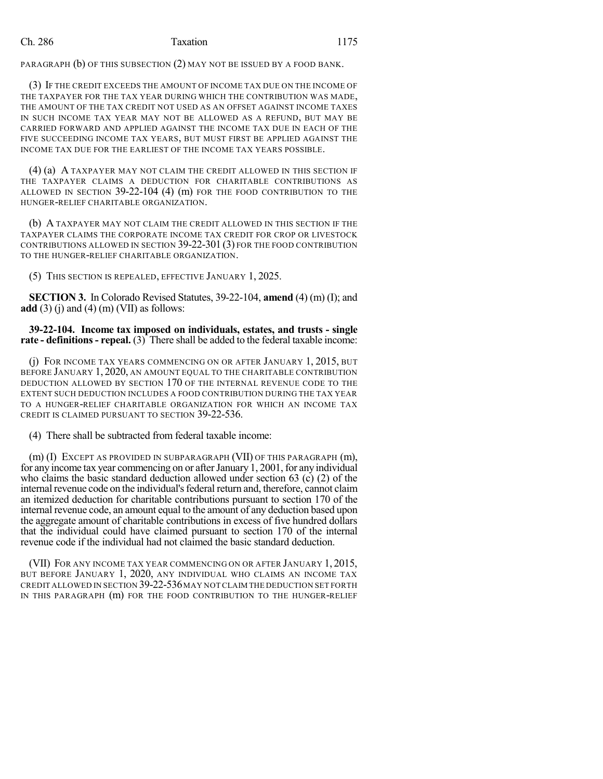### Ch. 286 Taxation 1175

PARAGRAPH (b) OF THIS SUBSECTION (2) MAY NOT BE ISSUED BY A FOOD BANK.

(3) IF THE CREDIT EXCEEDS THE AMOUNT OF INCOME TAX DUE ON THE INCOME OF THE TAXPAYER FOR THE TAX YEAR DURING WHICH THE CONTRIBUTION WAS MADE, THE AMOUNT OF THE TAX CREDIT NOT USED AS AN OFFSET AGAINST INCOME TAXES IN SUCH INCOME TAX YEAR MAY NOT BE ALLOWED AS A REFUND, BUT MAY BE CARRIED FORWARD AND APPLIED AGAINST THE INCOME TAX DUE IN EACH OF THE FIVE SUCCEEDING INCOME TAX YEARS, BUT MUST FIRST BE APPLIED AGAINST THE INCOME TAX DUE FOR THE EARLIEST OF THE INCOME TAX YEARS POSSIBLE.

(4) (a) A TAXPAYER MAY NOT CLAIM THE CREDIT ALLOWED IN THIS SECTION IF THE TAXPAYER CLAIMS A DEDUCTION FOR CHARITABLE CONTRIBUTIONS AS ALLOWED IN SECTION 39-22-104 (4) (m) FOR THE FOOD CONTRIBUTION TO THE HUNGER-RELIEF CHARITABLE ORGANIZATION.

(b) A TAXPAYER MAY NOT CLAIM THE CREDIT ALLOWED IN THIS SECTION IF THE TAXPAYER CLAIMS THE CORPORATE INCOME TAX CREDIT FOR CROP OR LIVESTOCK CONTRIBUTIONS ALLOWED IN SECTION 39-22-301 (3) FOR THE FOOD CONTRIBUTION TO THE HUNGER-RELIEF CHARITABLE ORGANIZATION.

(5) THIS SECTION IS REPEALED, EFFECTIVE JANUARY 1, 2025.

**SECTION 3.** In Colorado Revised Statutes, 39-22-104, **amend** (4) (m) (I); and **add** (3) (j) and (4) (m) (VII) as follows:

**39-22-104. Income tax imposed on individuals, estates, and trusts - single rate - definitions- repeal.** (3) There shall be added to the federal taxable income:

(j) FOR INCOME TAX YEARS COMMENCING ON OR AFTER JANUARY 1, 2015, BUT BEFORE JANUARY 1, 2020, AN AMOUNT EQUAL TO THE CHARITABLE CONTRIBUTION DEDUCTION ALLOWED BY SECTION 170 OF THE INTERNAL REVENUE CODE TO THE EXTENT SUCH DEDUCTION INCLUDES A FOOD CONTRIBUTION DURING THE TAX YEAR TO A HUNGER-RELIEF CHARITABLE ORGANIZATION FOR WHICH AN INCOME TAX CREDIT IS CLAIMED PURSUANT TO SECTION 39-22-536.

(4) There shall be subtracted from federal taxable income:

(m) (I) EXCEPT AS PROVIDED IN SUBPARAGRAPH (VII) OF THIS PARAGRAPH (m), for any income tax year commencing on or after January 1, 2001, for any individual who claims the basic standard deduction allowed under section 63 (c) (2) of the internal revenue code on the individual's federal return and, therefore, cannot claim an itemized deduction for charitable contributions pursuant to section 170 of the internal revenue code, an amount equal to the amount of any deduction based upon the aggregate amount of charitable contributions in excess of five hundred dollars that the individual could have claimed pursuant to section 170 of the internal revenue code if the individual had not claimed the basic standard deduction.

(VII) FOR ANY INCOME TAX YEAR COMMENCING ON OR AFTER JANUARY 1, 2015, BUT BEFORE JANUARY 1, 2020, ANY INDIVIDUAL WHO CLAIMS AN INCOME TAX CREDIT ALLOWED IN SECTION 39-22-536MAY NOTCLAIM THE DEDUCTION SET FORTH IN THIS PARAGRAPH (m) FOR THE FOOD CONTRIBUTION TO THE HUNGER-RELIEF